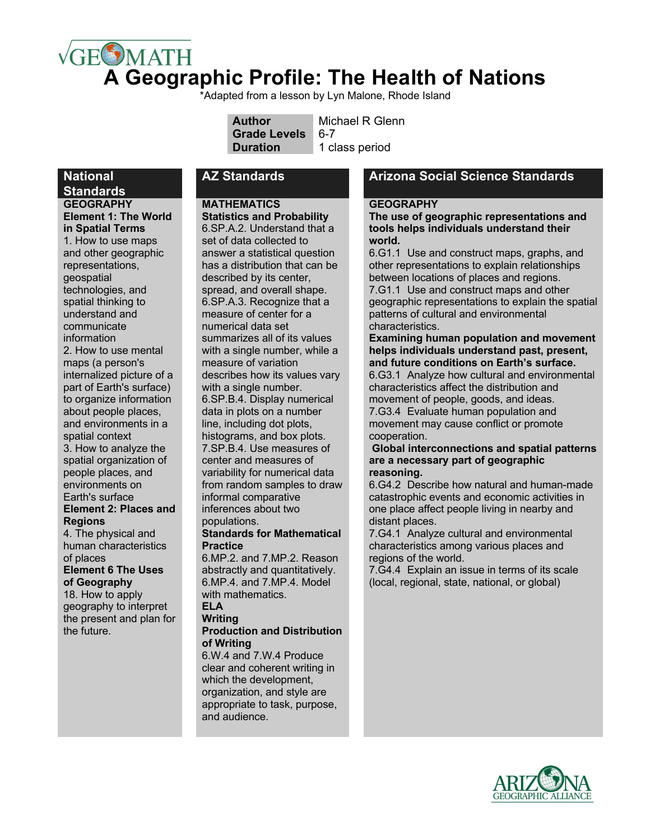# $\sqrt{GE}$ MATH **A Geographic Profile: The Health of Nations**

\*Adapted from a lesson by Lyn Malone, Rhode Island

| <b>Author</b>       | Michael R Glenn |
|---------------------|-----------------|
| <b>Grade Levels</b> | 6-7             |
| <b>Duration</b>     | 1 class period  |

#### **National Standards**

**GEOGRAPHY Element 1: The World in Spatial Terms**  1. How to use maps and other geographic representations, geospatial technologies, and spatial thinking to understand and communicate information 2. How to use mental maps (a person's internalized picture of a part of Earth's surface) to organize information about people places, and environments in a spatial context 3. How to analyze the spatial organization of people places, and environments on Earth's surface **Element 2: Places and Regions** 4. The physical and

human characteristics of places

**Element 6 The Uses of Geography**

18. How to apply geography to interpret the present and plan for the future.

### **MATHEMATICS**

**Statistics and Probability**  6.SP.A.2. Understand that a set of data collected to answer a statistical question has a distribution that can be described by its center, spread, and overall shape. 6.SP.A.3. Recognize that a measure of center for a numerical data set summarizes all of its values with a single number, while a measure of variation describes how its values vary with a single number. 6.SP.B.4. Display numerical data in plots on a number line, including dot plots, histograms, and box plots. 7.SP.B.4. Use measures of center and measures of variability for numerical data from random samples to draw informal comparative inferences about two populations. **Standards for Mathematical** 

# **Practice**

6.MP.2. and 7.MP.2. Reason abstractly and quantitatively. 6.MP.4. and 7.MP.4. Model with mathematics **ELA**

#### **Writing**

#### **Production and Distribution of Writing**

6.W.4 and 7.W.4 Produce clear and coherent writing in which the development, organization, and style are appropriate to task, purpose, and audience.

## **AZ Standards Arizona Social Science Standards**

#### **GEOGRAPHY**

**The use of geographic representations and tools helps individuals understand their world.**

6.G1.1 Use and construct maps, graphs, and other representations to explain relationships between locations of places and regions. 7.G1.1 Use and construct maps and other geographic representations to explain the spatial patterns of cultural and environmental characteristics.

#### **Examining human population and movement helps individuals understand past, present, and future conditions on Earth's surface.**

6.G3.1 Analyze how cultural and environmental characteristics affect the distribution and movement of people, goods, and ideas. 7.G3.4 Evaluate human population and movement may cause conflict or promote cooperation.

#### **Global interconnections and spatial patterns are a necessary part of geographic reasoning.**

6.G4.2 Describe how natural and human-made catastrophic events and economic activities in one place affect people living in nearby and distant places.

7.G4.1 Analyze cultural and environmental characteristics among various places and regions of the world.

7.G4.4 Explain an issue in terms of its scale (local, regional, state, national, or global)

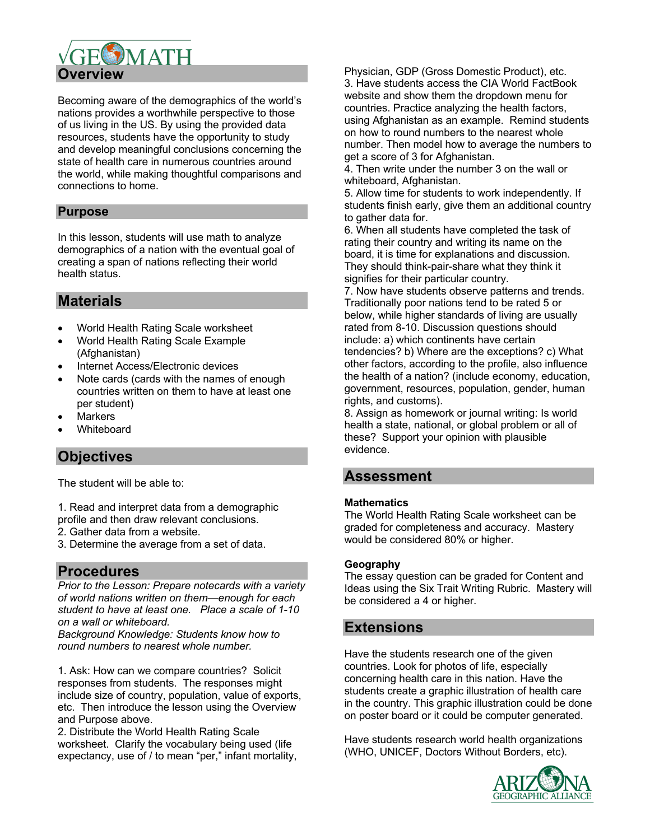

Becoming aware of the demographics of the world's nations provides a worthwhile perspective to those of us living in the US. By using the provided data resources, students have the opportunity to study and develop meaningful conclusions concerning the state of health care in numerous countries around the world, while making thoughtful comparisons and connections to home.

# **Purpose**

In this lesson, students will use math to analyze demographics of a nation with the eventual goal of creating a span of nations reflecting their world health status.

# **Materials**

- World Health Rating Scale worksheet
- World Health Rating Scale Example (Afghanistan)
- Internet Access/Electronic devices
- Note cards (cards with the names of enough countries written on them to have at least one per student)
- **Markers**
- Whiteboard

# **Objectives**

The student will be able to:

1. Read and interpret data from a demographic profile and then draw relevant conclusions.

- 2. Gather data from a website.
- 3. Determine the average from a set of data.

# **Procedures**

*Prior to the Lesson: Prepare notecards with a variety of world nations written on them—enough for each student to have at least one. Place a scale of 1-10 on a wall or whiteboard.*

*Background Knowledge: Students know how to round numbers to nearest whole number.*

1. Ask: How can we compare countries? Solicit responses from students. The responses might include size of country, population, value of exports, etc. Then introduce the lesson using the Overview and Purpose above.

2. Distribute the World Health Rating Scale worksheet. Clarify the vocabulary being used (life expectancy, use of / to mean "per," infant mortality, Physician, GDP (Gross Domestic Product), etc. 3. Have students access the CIA World FactBook website and show them the dropdown menu for countries. Practice analyzing the health factors, using Afghanistan as an example. Remind students on how to round numbers to the nearest whole number. Then model how to average the numbers to get a score of 3 for Afghanistan.

4. Then write under the number 3 on the wall or whiteboard, Afghanistan.

5. Allow time for students to work independently. If students finish early, give them an additional country to gather data for.

6. When all students have completed the task of rating their country and writing its name on the board, it is time for explanations and discussion. They should think-pair-share what they think it signifies for their particular country.

7. Now have students observe patterns and trends. Traditionally poor nations tend to be rated 5 or below, while higher standards of living are usually rated from 8-10. Discussion questions should include: a) which continents have certain tendencies? b) Where are the exceptions? c) What other factors, according to the profile, also influence the health of a nation? (include economy, education, government, resources, population, gender, human rights, and customs).

8. Assign as homework or journal writing: Is world health a state, national, or global problem or all of these? Support your opinion with plausible evidence.

# **Assessment**

#### **Mathematics**

The World Health Rating Scale worksheet can be graded for completeness and accuracy. Mastery would be considered 80% or higher.

#### **Geography**

The essay question can be graded for Content and Ideas using the Six Trait Writing Rubric. Mastery will be considered a 4 or higher.

## **Extensions**

Have the students research one of the given countries. Look for photos of life, especially concerning health care in this nation. Have the students create a graphic illustration of health care in the country. This graphic illustration could be done on poster board or it could be computer generated.

Have students research world health organizations (WHO, UNICEF, Doctors Without Borders, etc).